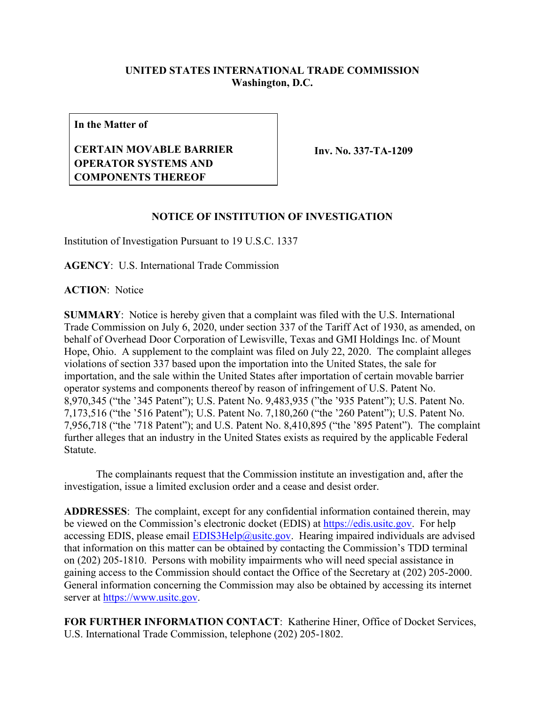## **UNITED STATES INTERNATIONAL TRADE COMMISSION Washington, D.C.**

**In the Matter of**

## **CERTAIN MOVABLE BARRIER OPERATOR SYSTEMS AND COMPONENTS THEREOF**

**Inv. No. 337-TA-1209**

## **NOTICE OF INSTITUTION OF INVESTIGATION**

Institution of Investigation Pursuant to 19 U.S.C. 1337

**AGENCY**: U.S. International Trade Commission

**ACTION**: Notice

**SUMMARY**: Notice is hereby given that a complaint was filed with the U.S. International Trade Commission on July 6, 2020, under section 337 of the Tariff Act of 1930, as amended, on behalf of Overhead Door Corporation of Lewisville, Texas and GMI Holdings Inc. of Mount Hope, Ohio. A supplement to the complaint was filed on July 22, 2020. The complaint alleges violations of section 337 based upon the importation into the United States, the sale for importation, and the sale within the United States after importation of certain movable barrier operator systems and components thereof by reason of infringement of U.S. Patent No. 8,970,345 ("the '345 Patent"); U.S. Patent No. 9,483,935 ("the '935 Patent"); U.S. Patent No. 7,173,516 ("the '516 Patent"); U.S. Patent No. 7,180,260 ("the '260 Patent"); U.S. Patent No. 7,956,718 ("the '718 Patent"); and U.S. Patent No. 8,410,895 ("the '895 Patent"). The complaint further alleges that an industry in the United States exists as required by the applicable Federal Statute.

The complainants request that the Commission institute an investigation and, after the investigation, issue a limited exclusion order and a cease and desist order.

**ADDRESSES**: The complaint, except for any confidential information contained therein, may be viewed on the Commission's electronic docket (EDIS) at [https://edis.usitc.gov.](https://edis.usitc.gov/) For help accessing EDIS, please email  $EDIS3Help@usite.gov$ . Hearing impaired individuals are advised that information on this matter can be obtained by contacting the Commission's TDD terminal on (202) 205-1810. Persons with mobility impairments who will need special assistance in gaining access to the Commission should contact the Office of the Secretary at (202) 205-2000. General information concerning the Commission may also be obtained by accessing its internet server at [https://www.usitc.gov.](https://www.usitc.gov/)

**FOR FURTHER INFORMATION CONTACT**: Katherine Hiner, Office of Docket Services, U.S. International Trade Commission, telephone (202) 205-1802.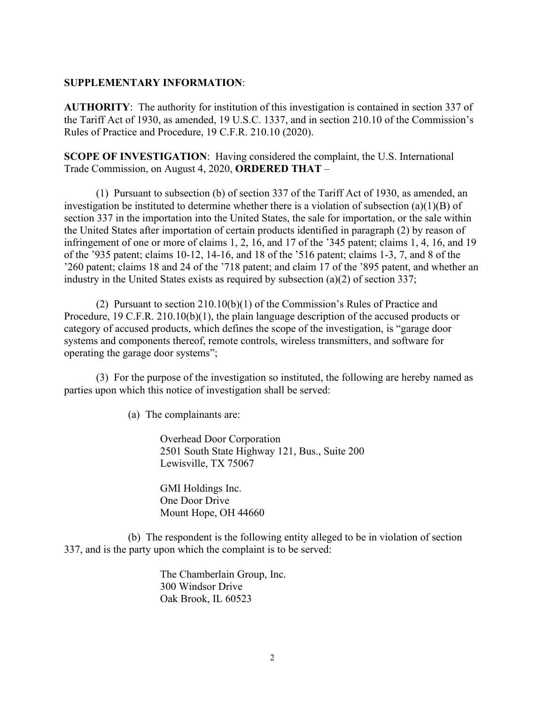## **SUPPLEMENTARY INFORMATION**:

**AUTHORITY**: The authority for institution of this investigation is contained in section 337 of the Tariff Act of 1930, as amended, 19 U.S.C. 1337, and in section 210.10 of the Commission's Rules of Practice and Procedure, 19 C.F.R. 210.10 (2020).

**SCOPE OF INVESTIGATION**: Having considered the complaint, the U.S. International Trade Commission, on August 4, 2020, **ORDERED THAT** –

(1) Pursuant to subsection (b) of section 337 of the Tariff Act of 1930, as amended, an investigation be instituted to determine whether there is a violation of subsection (a)(1)(B) of section 337 in the importation into the United States, the sale for importation, or the sale within the United States after importation of certain products identified in paragraph (2) by reason of infringement of one or more of claims 1, 2, 16, and 17 of the '345 patent; claims 1, 4, 16, and 19 of the '935 patent; claims 10-12, 14-16, and 18 of the '516 patent; claims 1-3, 7, and 8 of the '260 patent; claims 18 and 24 of the '718 patent; and claim 17 of the '895 patent, and whether an industry in the United States exists as required by subsection (a)(2) of section 337;

(2) Pursuant to section 210.10(b)(1) of the Commission's Rules of Practice and Procedure, 19 C.F.R. 210.10(b)(1), the plain language description of the accused products or category of accused products, which defines the scope of the investigation, is "garage door systems and components thereof, remote controls, wireless transmitters, and software for operating the garage door systems";

(3) For the purpose of the investigation so instituted, the following are hereby named as parties upon which this notice of investigation shall be served:

(a) The complainants are:

Overhead Door Corporation 2501 South State Highway 121, Bus., Suite 200 Lewisville, TX 75067

GMI Holdings Inc. One Door Drive Mount Hope, OH 44660

(b) The respondent is the following entity alleged to be in violation of section 337, and is the party upon which the complaint is to be served:

> The Chamberlain Group, Inc. 300 Windsor Drive Oak Brook, IL 60523